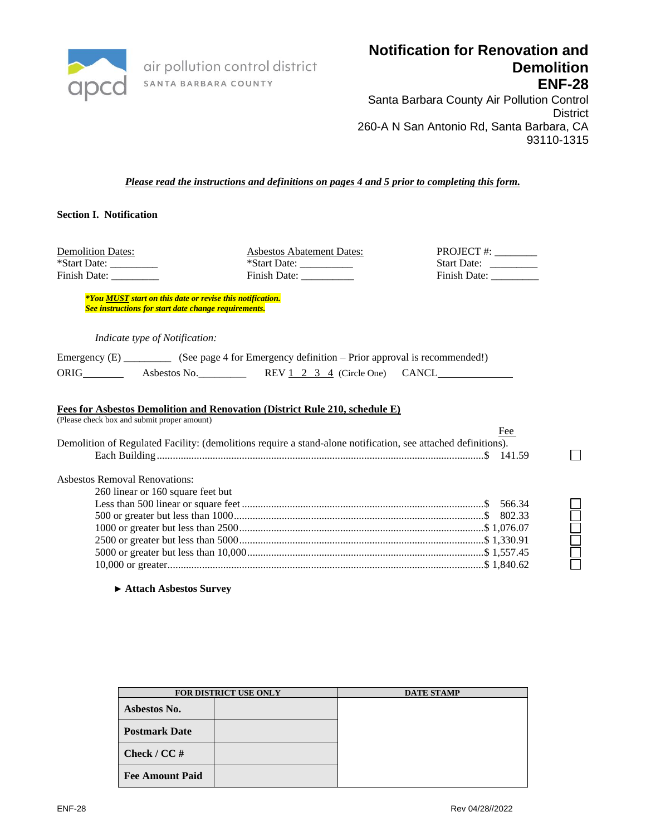

air pollution control district SANTA BARBARA COUNTY

# **Notification for Renovation and Demolition ENF-28**

Santa Barbara County Air Pollution Control **District** 260-A N San Antonio Rd, Santa Barbara, CA 93110-1315

*Please read the instructions and definitions on pages 4 and 5 prior to completing this form.*

# **Section I. Notification**

Demolition Dates: Asbestos Abatement Dates: P \*Start Date: \_\_\_\_\_\_\_\_\_\_\_ \*Start Date: \_\_\_\_\_\_\_\_\_\_\_ S Finish Date: \_\_\_\_\_\_\_\_\_ Finish Date: \_\_\_\_\_\_\_\_\_\_ Finish Date: \_\_\_\_\_\_\_\_\_

| PROJECT #: _     |  |
|------------------|--|
| Start Date:      |  |
| Finish Date: ___ |  |

 $\Box$ 

*\*You MUST start on this date or revise this notification. See instructions for start date change requirements.*

*Indicate type of Notification:*

| Emergency $(E)$ |              | (See page 4 for Emergency definition – Prior approval is recommended!) |  |
|-----------------|--------------|------------------------------------------------------------------------|--|
| ORIG            | Asbestos No. | REV 1 2 3 4 (Circle One) CANCL                                         |  |

#### **Fees for Asbestos Demolition and Renovation (District Rule 210, schedule E)**

(Please check box and submit proper amount)

|                                                                                                               | Fee |
|---------------------------------------------------------------------------------------------------------------|-----|
| Demolition of Regulated Facility: (demolitions require a stand-alone notification, see attached definitions). |     |
|                                                                                                               |     |
| <b>Ashestos Removal Renovations:</b>                                                                          |     |
| 260 linear or 160 square feet but                                                                             |     |
|                                                                                                               |     |
|                                                                                                               |     |
|                                                                                                               |     |
|                                                                                                               |     |
|                                                                                                               |     |
|                                                                                                               |     |
|                                                                                                               |     |

**► Attach Asbestos Survey**

|                        | <b>FOR DISTRICT USE ONLY</b> | <b>DATE STAMP</b> |
|------------------------|------------------------------|-------------------|
| Asbestos No.           |                              |                   |
| <b>Postmark Date</b>   |                              |                   |
| Check / $CC \#$        |                              |                   |
| <b>Fee Amount Paid</b> |                              |                   |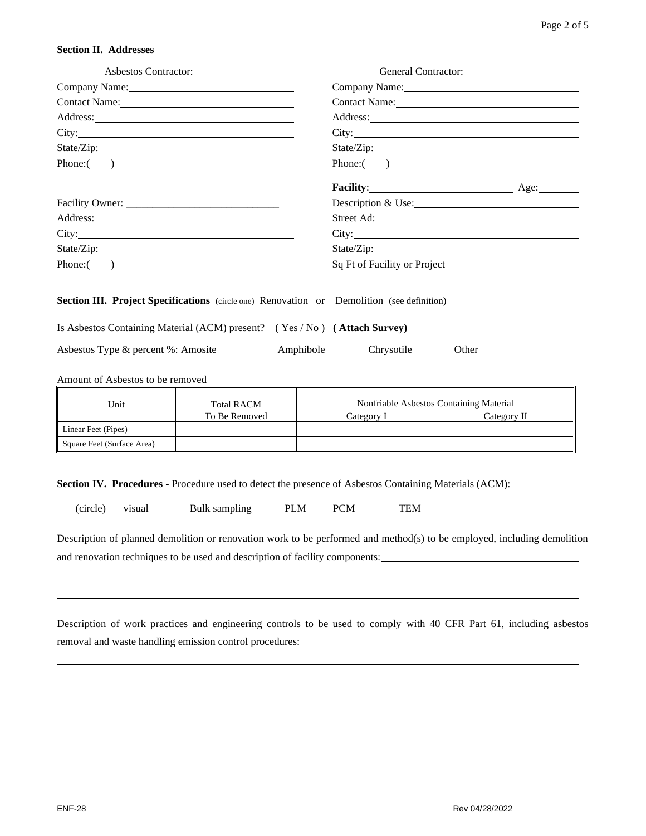#### **Section II. Addresses**

| Asbestos Contractor:                                                                                                                                                                                                                 | <b>General Contractor:</b>                                                                                                                                                                                                     |  |  |  |
|--------------------------------------------------------------------------------------------------------------------------------------------------------------------------------------------------------------------------------------|--------------------------------------------------------------------------------------------------------------------------------------------------------------------------------------------------------------------------------|--|--|--|
|                                                                                                                                                                                                                                      | Company Name: 2008                                                                                                                                                                                                             |  |  |  |
| Contact Name:                                                                                                                                                                                                                        | Contact Name: Name and Solid Contact Name and Solid Contact Name and Solid Contact Name and Solid Contact Oriental Contact Oriental Contact Oriental Contact Oriental Contact Oriental Contact Oriental Contact Oriental Conta |  |  |  |
|                                                                                                                                                                                                                                      |                                                                                                                                                                                                                                |  |  |  |
|                                                                                                                                                                                                                                      |                                                                                                                                                                                                                                |  |  |  |
|                                                                                                                                                                                                                                      |                                                                                                                                                                                                                                |  |  |  |
| Phone: ( )                                                                                                                                                                                                                           | $Phone:\_$ )                                                                                                                                                                                                                   |  |  |  |
|                                                                                                                                                                                                                                      | Facility: Age: Age:                                                                                                                                                                                                            |  |  |  |
|                                                                                                                                                                                                                                      | Description & Use:                                                                                                                                                                                                             |  |  |  |
| Address: <u>and the contract of the contract of the contract of the contract of the contract of the contract of the contract of the contract of the contract of the contract of the contract of the contract of the contract of </u> | Street Ad:                                                                                                                                                                                                                     |  |  |  |
| City:                                                                                                                                                                                                                                |                                                                                                                                                                                                                                |  |  |  |
| State/Zip:                                                                                                                                                                                                                           |                                                                                                                                                                                                                                |  |  |  |
| Phone: ( )                                                                                                                                                                                                                           |                                                                                                                                                                                                                                |  |  |  |
| <b>Section III. Project Specifications</b> (circle one) Renovation or Demolition (see definition)                                                                                                                                    |                                                                                                                                                                                                                                |  |  |  |
| Is Asbestos Containing Material (ACM) present? (Yes / No) (Attach Survey)                                                                                                                                                            |                                                                                                                                                                                                                                |  |  |  |
| Asbestos Type & percent %: Amosite Amphibole Chrysotile                                                                                                                                                                              | Other                                                                                                                                                                                                                          |  |  |  |

Amount of Asbestos to be removed

| Unit                       | <b>Total RACM</b> | Nonfriable Asbestos Containing Material |             |
|----------------------------|-------------------|-----------------------------------------|-------------|
|                            | To Be Removed     | Category.                               | Category II |
| Linear Feet (Pipes)        |                   |                                         |             |
| Square Feet (Surface Area) |                   |                                         |             |

**Section IV. Procedures** - Procedure used to detect the presence of Asbestos Containing Materials (ACM):

| (circle) | visual | Bulk sampling | <b>PLM</b> | <b>PCM</b> | <b>TEM</b> |
|----------|--------|---------------|------------|------------|------------|

Description of planned demolition or renovation work to be performed and method(s) to be employed, including demolition and renovation techniques to be used and description of facility components:

Description of work practices and engineering controls to be used to comply with 40 CFR Part 61, including asbestos removal and waste handling emission control procedures: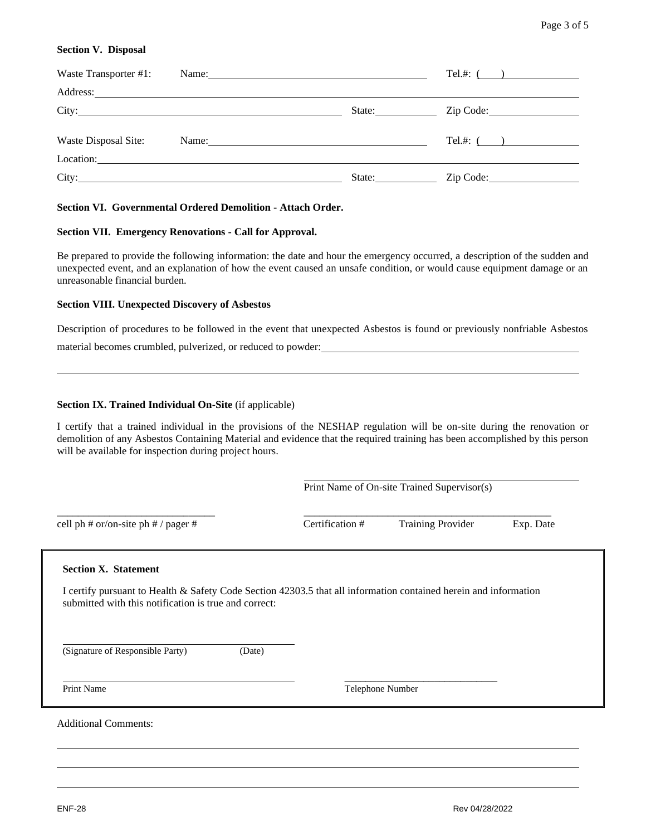# **Section V. Disposal**

| Waste Transporter #1: | Name: Name:                                                                                                                                                                                                                                                                                                                                                                                                   |        | Tel.#: $($       |
|-----------------------|---------------------------------------------------------------------------------------------------------------------------------------------------------------------------------------------------------------------------------------------------------------------------------------------------------------------------------------------------------------------------------------------------------------|--------|------------------|
|                       |                                                                                                                                                                                                                                                                                                                                                                                                               |        |                  |
|                       |                                                                                                                                                                                                                                                                                                                                                                                                               |        | State: Zip Code: |
| Waste Disposal Site:  | Name: $\frac{1}{\sqrt{1-\frac{1}{2}}\sqrt{1-\frac{1}{2}}\sqrt{1-\frac{1}{2}}\sqrt{1-\frac{1}{2}}\sqrt{1-\frac{1}{2}}\sqrt{1-\frac{1}{2}}\sqrt{1-\frac{1}{2}}\sqrt{1-\frac{1}{2}}\sqrt{1-\frac{1}{2}}\sqrt{1-\frac{1}{2}}\sqrt{1-\frac{1}{2}}\sqrt{1-\frac{1}{2}}\sqrt{1-\frac{1}{2}}\sqrt{1-\frac{1}{2}}\sqrt{1-\frac{1}{2}}\sqrt{1-\frac{1}{2}}\sqrt{1-\frac{1}{2}}\sqrt{1-\frac{1}{2}}\sqrt{1-\frac{1}{2}}$ |        | Tel.#: $($       |
|                       |                                                                                                                                                                                                                                                                                                                                                                                                               |        |                  |
|                       | City: City:                                                                                                                                                                                                                                                                                                                                                                                                   | State: | Zip Code:        |

# **Section VI. Governmental Ordered Demolition - Attach Order.**

## **Section VII. Emergency Renovations - Call for Approval.**

Be prepared to provide the following information: the date and hour the emergency occurred, a description of the sudden and unexpected event, and an explanation of how the event caused an unsafe condition, or would cause equipment damage or an unreasonable financial burden.

### **Section VIII. Unexpected Discovery of Asbestos**

Description of procedures to be followed in the event that unexpected Asbestos is found or previously nonfriable Asbestos

material becomes crumbled, pulverized, or reduced to powder:

## **Section IX. Trained Individual On-Site** (if applicable)

I certify that a trained individual in the provisions of the NESHAP regulation will be on-site during the renovation or demolition of any Asbestos Containing Material and evidence that the required training has been accomplished by this person will be available for inspection during project hours.

Print Name of On-site Trained Supervisor(s)

cell ph # or/on-site ph # / pager # Certification # Training Provider Exp. Date

\_\_\_\_\_\_\_\_\_\_\_\_\_\_\_\_\_\_\_\_\_\_\_\_\_\_\_\_\_\_ \_\_\_\_\_\_\_\_\_\_\_\_\_\_\_\_\_\_\_\_\_\_\_\_\_\_\_\_\_\_\_\_\_\_\_\_\_\_\_\_\_\_\_\_\_\_\_

#### **Section X. Statement**

I certify pursuant to Health & Safety Code Section 42303.5 that all information contained herein and information submitted with this notification is true and correct:

(Signature of Responsible Party) (Date)

Print Name Telephone Number

 $\frac{1}{2}$  , the contract of the contract of the contract of the contract of the contract of the contract of the contract of the contract of the contract of the contract of the contract of the contract of the contract of t

Additional Comments: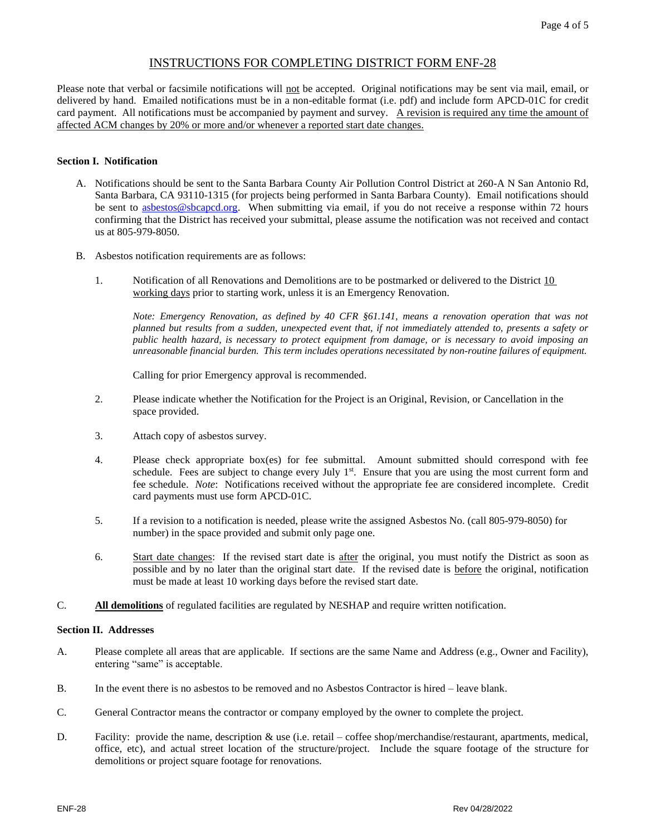# INSTRUCTIONS FOR COMPLETING DISTRICT FORM ENF-28

Please note that verbal or facsimile notifications will not be accepted. Original notifications may be sent via mail, email, or delivered by hand. Emailed notifications must be in a non-editable format (i.e. pdf) and include form APCD-01C for credit card payment. All notifications must be accompanied by payment and survey. A revision is required any time the amount of affected ACM changes by 20% or more and/or whenever a reported start date changes.

### **Section I. Notification**

- A. Notifications should be sent to the Santa Barbara County Air Pollution Control District at 260-A N San Antonio Rd, Santa Barbara, CA 93110-1315 (for projects being performed in Santa Barbara County). Email notifications should be sent to [asbestos@sbcapcd.org.](mailto:asbestos@sbcapcd.org) When submitting via email, if you do not receive a response within 72 hours confirming that the District has received your submittal, please assume the notification was not received and contact us at 805-979-8050.
- B. Asbestos notification requirements are as follows:
	- 1. Notification of all Renovations and Demolitions are to be postmarked or delivered to the District 10 working days prior to starting work, unless it is an Emergency Renovation.

*Note: Emergency Renovation, as defined by 40 CFR §61.141, means a renovation operation that was not planned but results from a sudden, unexpected event that, if not immediately attended to, presents a safety or public health hazard, is necessary to protect equipment from damage, or is necessary to avoid imposing an unreasonable financial burden. This term includes operations necessitated by non-routine failures of equipment.*

Calling for prior Emergency approval is recommended.

- 2. Please indicate whether the Notification for the Project is an Original, Revision, or Cancellation in the space provided.
- 3. Attach copy of asbestos survey.
- 4. Please check appropriate box(es) for fee submittal. Amount submitted should correspond with fee schedule. Fees are subject to change every July  $1<sup>st</sup>$ . Ensure that you are using the most current form and fee schedule. *Note*: Notifications received without the appropriate fee are considered incomplete. Credit card payments must use form APCD-01C.
- 5. If a revision to a notification is needed, please write the assigned Asbestos No. (call 805-979-8050) for number) in the space provided and submit only page one.
- 6. Start date changes: If the revised start date is after the original, you must notify the District as soon as possible and by no later than the original start date. If the revised date is before the original, notification must be made at least 10 working days before the revised start date.
- C. **All demolitions** of regulated facilities are regulated by NESHAP and require written notification.

#### **Section II. Addresses**

- A. Please complete all areas that are applicable. If sections are the same Name and Address (e.g., Owner and Facility), entering "same" is acceptable.
- B. In the event there is no asbestos to be removed and no Asbestos Contractor is hired leave blank.
- C. General Contractor means the contractor or company employed by the owner to complete the project.
- D. Facility: provide the name, description & use (i.e. retail coffee shop/merchandise/restaurant, apartments, medical, office, etc), and actual street location of the structure/project. Include the square footage of the structure for demolitions or project square footage for renovations.